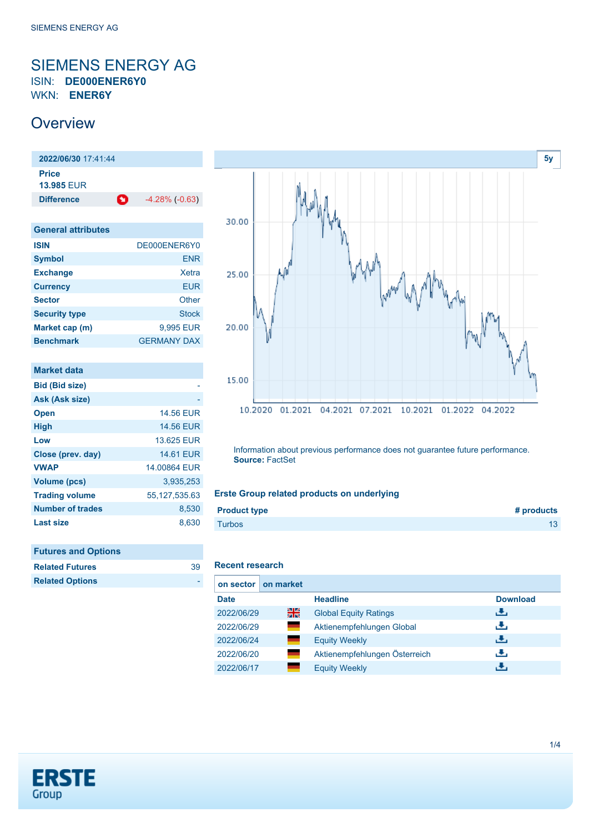## <span id="page-0-0"></span>SIEMENS ENERGY AG ISIN: **DE000ENER6Y0** WKN: **ENER6Y**

## **Overview**

**2022/06/30** 17:41:44 **Price 13.985** EUR **Difference -4.28% (-0.63)** 

| <b>General attributes</b> |                    |
|---------------------------|--------------------|
| <b>ISIN</b>               | DE000ENER6Y0       |
| <b>Symbol</b>             | <b>ENR</b>         |
| <b>Exchange</b>           | Xetra              |
| <b>Currency</b>           | <b>EUR</b>         |
| <b>Sector</b>             | Other              |
| <b>Security type</b>      | Stock              |
| Market cap (m)            | 9,995 EUR          |
| <b>Benchmark</b>          | <b>GERMANY DAX</b> |

| Market data             |                  |
|-------------------------|------------------|
| <b>Bid (Bid size)</b>   |                  |
| Ask (Ask size)          |                  |
| <b>Open</b>             | <b>14,56 EUR</b> |
| <b>High</b>             | <b>14.56 EUR</b> |
| Low                     | 13.625 EUR       |
| Close (prev. day)       | <b>14.61 EUR</b> |
| <b>VWAP</b>             | 14.00864 EUR     |
| <b>Volume (pcs)</b>     | 3.935.253        |
| <b>Trading volume</b>   | 55,127,535.63    |
| <b>Number of trades</b> | 8,530            |
| <b>Last size</b>        | 8.630            |

| <b>Futures and Options</b> |    |
|----------------------------|----|
| <b>Related Futures</b>     | 39 |

**Related Options** -

| 30.00 |                                                                           |
|-------|---------------------------------------------------------------------------|
| 25.00 | <b>INVALL</b><br>W٧                                                       |
| 20.00 | V<br><b>My</b>                                                            |
| 15.00 | 10.2020<br>01.2021<br>04.2021<br>10.2021<br>01.2022<br>07.2021<br>04.2022 |

Information about previous performance does not guarantee future performance. **Source:** FactSet

## **Erste Group related products on underlying**

| Turbos | <b>Product type</b> | # products |
|--------|---------------------|------------|
|        |                     |            |

## **Recent research**

| on sector   | on market      |                               |                 |
|-------------|----------------|-------------------------------|-----------------|
| <b>Date</b> |                | <b>Headline</b>               | <b>Download</b> |
| 2022/06/29  | 읡              | <b>Global Equity Ratings</b>  | رىلى            |
| 2022/06/29  | and a          | Aktienempfehlungen Global     | رنان            |
| 2022/06/24  | <b>College</b> | <b>Equity Weekly</b>          | رالى            |
| 2022/06/20  | ٠              | Aktienempfehlungen Österreich | J.              |
| 2022/06/17  |                | <b>Equity Weekly</b>          | æ,              |



**[5y](#page-0-0)**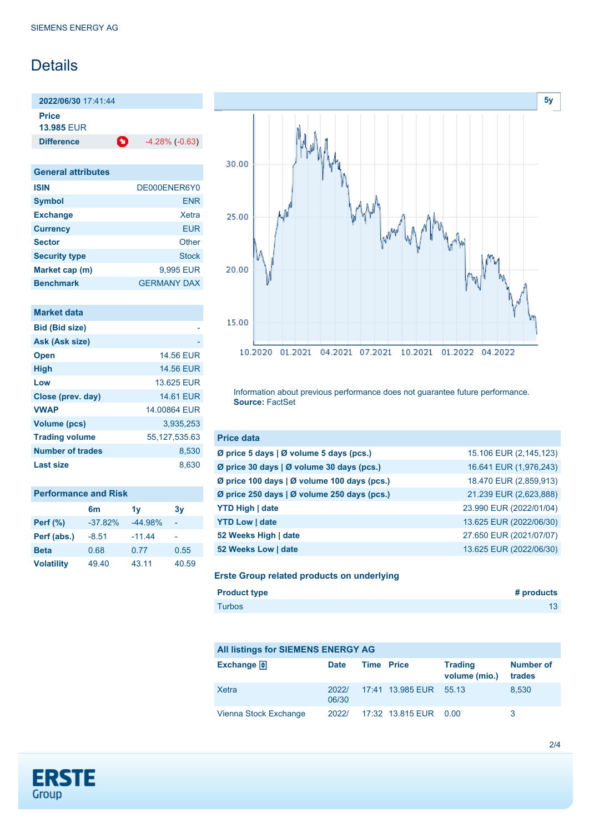# **Details**

**2022/06/30** 17:41:44 **Price**

**13.985** EUR

**Difference 1** -4.28% (-0.63)

| <b>General attributes</b> |                    |
|---------------------------|--------------------|
| <b>ISIN</b>               | DE000ENER6Y0       |
| <b>Symbol</b>             | <b>ENR</b>         |
| <b>Exchange</b>           | Xetra              |
| <b>Currency</b>           | <b>EUR</b>         |
| <b>Sector</b>             | Other              |
| <b>Security type</b>      | Stock              |
| Market cap (m)            | 9,995 EUR          |
| <b>Benchmark</b>          | <b>GERMANY DAX</b> |

| Market data             |                  |
|-------------------------|------------------|
| <b>Bid (Bid size)</b>   |                  |
| Ask (Ask size)          |                  |
| <b>Open</b>             | <b>14.56 EUR</b> |
| <b>High</b>             | <b>14.56 EUR</b> |
| Low                     | 13.625 FUR       |
| Close (prev. day)       | <b>14.61 FUR</b> |
| <b>VWAP</b>             | 14.00864 EUR     |
| <b>Volume (pcs)</b>     | 3,935,253        |
| <b>Trading volume</b>   | 55,127,535.63    |
| <b>Number of trades</b> | 8,530            |
| <b>Last size</b>        | 8.630            |

| <b>Performance and Risk</b> |           |           |       |  |
|-----------------------------|-----------|-----------|-------|--|
|                             | 6m        | 1v        | 3y    |  |
| <b>Perf</b> (%)             | $-37.82%$ | $-44.98%$ |       |  |
| Perf (abs.)                 | $-8.51$   | $-11.44$  |       |  |
| <b>Beta</b>                 | 0.68      | 0.77      | 0.55  |  |
| <b>Volatility</b>           | 49.40     | 43.11     | 40.59 |  |



Information about previous performance does not guarantee future performance. **Source:** FactSet

| <b>Price data</b>                           |                         |
|---------------------------------------------|-------------------------|
| Ø price 5 days   Ø volume 5 days (pcs.)     | 15.106 EUR (2,145,123)  |
| Ø price 30 days   Ø volume 30 days (pcs.)   | 16.641 EUR (1,976,243)  |
| Ø price 100 days   Ø volume 100 days (pcs.) | 18.470 EUR (2,859,913)  |
| Ø price 250 days   Ø volume 250 days (pcs.) | 21.239 EUR (2,623,888)  |
| <b>YTD High   date</b>                      | 23.990 EUR (2022/01/04) |
| <b>YTD Low   date</b>                       | 13.625 EUR (2022/06/30) |
| 52 Weeks High   date                        | 27.650 EUR (2021/07/07) |
| 52 Weeks Low   date                         | 13.625 EUR (2022/06/30) |

### **Erste Group related products on underlying**

| <b>Product type</b> | # products |
|---------------------|------------|
| <b>Turbos</b>       | 13         |

## **All listings for SIEMENS ENERGY AG**

| Exchange $\bigoplus$  | <b>Date</b>    | <b>Time Price</b> |                        | <b>Trading</b><br>volume (mio.) | <b>Number of</b><br>trades |
|-----------------------|----------------|-------------------|------------------------|---------------------------------|----------------------------|
| Xetra                 | 2022/<br>06/30 |                   | 17:41 13.985 EUR 55.13 |                                 | 8.530                      |
| Vienna Stock Exchange | 2022/          |                   | 17:32 13.815 EUR  0.00 |                                 | 3                          |

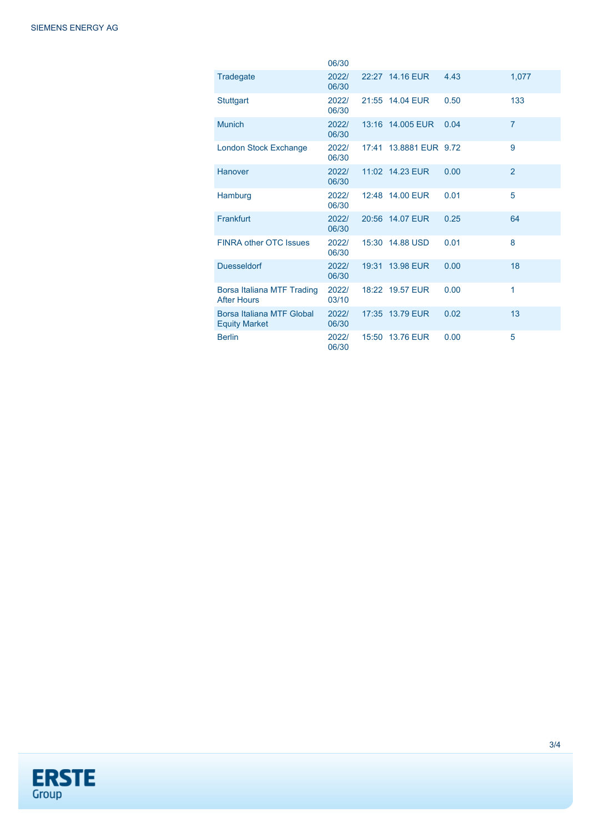|                                                   | 06/30          |                        |      |                |
|---------------------------------------------------|----------------|------------------------|------|----------------|
| Tradegate                                         | 2022/<br>06/30 | 22:27 14.16 EUR        | 4.43 | 1,077          |
| <b>Stuttgart</b>                                  | 2022/<br>06/30 | 21:55 14.04 EUR        | 0.50 | 133            |
| <b>Munich</b>                                     | 2022/<br>06/30 | 13:16 14.005 EUR       | 0.04 | $\overline{7}$ |
| <b>London Stock Exchange</b>                      | 2022/<br>06/30 | 17:41 13.8881 EUR 9.72 |      | 9              |
| Hanover                                           | 2022/<br>06/30 | 11:02 14.23 EUR        | 0.00 | $\overline{2}$ |
| Hamburg                                           | 2022/<br>06/30 | 12:48 14.00 EUR        | 0.01 | 5              |
| Frankfurt                                         | 2022/<br>06/30 | 20:56 14.07 EUR        | 0.25 | 64             |
| FINRA other OTC Issues                            | 2022/<br>06/30 | 15:30 14.88 USD        | 0.01 | 8              |
| <b>Duesseldorf</b>                                | 2022/<br>06/30 | 19:31 13.98 EUR        | 0.00 | 18             |
| Borsa Italiana MTF Trading<br><b>After Hours</b>  | 2022/<br>03/10 | 18:22 19.57 EUR        | 0.00 | 1              |
| Borsa Italiana MTF Global<br><b>Equity Market</b> | 2022/<br>06/30 | 17:35 13.79 EUR        | 0.02 | 13             |
| <b>Berlin</b>                                     | 2022/<br>06/30 | 15:50 13.76 EUR        | 0.00 | 5              |